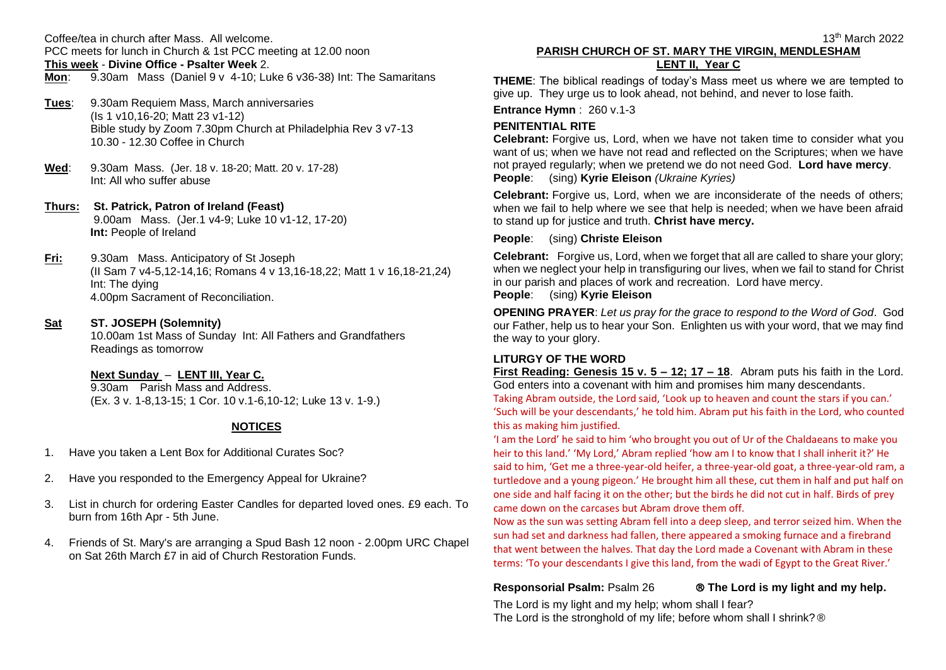Coffee/tea in church after Mass. All welcome.

PCC meets for lunch in Church & 1st PCC meeting at 12.00 noon **This week** - **Divine Office - Psalter Week** 2.

**Mon**:9.30am Mass (Daniel 9 v 4-10; Luke 6 v36-38) Int: The Samaritans

- **Tues**: 9.30am Requiem Mass, March anniversaries (Is 1 v10,16-20; Matt 23 v1-12) Bible study by Zoom 7.30pm Church at Philadelphia Rev 3 v7-13 10.30 - 12.30 Coffee in Church
- **Wed**: 9.30am Mass. (Jer. 18 v. 18-20; Matt. 20 v. 17-28) Int: All who suffer abuse
- **Thurs: St. Patrick, Patron of Ireland (Feast)** 9.00am Mass. (Jer.1 v4-9; Luke 10 v1-12, 17-20)  **Int:** People of Ireland
- **Fri:** 9.30am Mass. Anticipatory of St Joseph (II Sam 7 v4-5,12-14,16; Romans 4 v 13,16-18,22; Matt 1 v 16,18-21,24) Int: The dying 4.00pm Sacrament of Reconciliation.
- **Sat ST. JOSEPH (Solemnity)**

 10.00am 1st Mass of Sunday Int: All Fathers and Grandfathers Readings as tomorrow

### **Next Sunday** – **LENT III, Year C.**

 9.30am Parish Mass and Address. (Ex. 3 v. 1-8,13-15; 1 Cor. 10 v.1-6,10-12; Luke 13 v. 1-9.)

## **NOTICES**

- 1. Have you taken a Lent Box for Additional Curates Soc?
- 2. Have you responded to the Emergency Appeal for Ukraine?
- 3. List in church for ordering Easter Candles for departed loved ones. £9 each. To burn from 16th Apr - 5th June.
- 4. Friends of St. Mary's are arranging a Spud Bash 12 noon 2.00pm URC Chapel on Sat 26th March £7 in aid of Church Restoration Funds.

# **PARISH CHURCH OF ST. MARY THE VIRGIN, MENDLESHAM LENT II, Year C**

**THEME**: The biblical readings of today's Mass meet us where we are tempted to give up. They urge us to look ahead, not behind, and never to lose faith.

**Entrance Hymn** : 260 v.1-3

# **PENITENTIAL RITE**

**Celebrant:** Forgive us, Lord, when we have not taken time to consider what you want of us; when we have not read and reflected on the Scriptures; when we have not prayed regularly; when we pretend we do not need God. **Lord have mercy**. **People**: (sing) **Kyrie Eleison** *(Ukraine Kyries)*

**Celebrant:** Forgive us, Lord, when we are inconsiderate of the needs of others; when we fail to help where we see that help is needed; when we have been afraid to stand up for justice and truth. **Christ have mercy.**

#### **People**: (sing) **Christe Eleison**

**Celebrant:** Forgive us, Lord, when we forget that all are called to share your glory; when we neglect your help in transfiguring our lives, when we fail to stand for Christ in our parish and places of work and recreation. Lord have mercy.

#### **People**: (sing) **Kyrie Eleison**

**OPENING PRAYER**: *Let us pray for the grace to respond to the Word of God*. God our Father, help us to hear your Son. Enlighten us with your word, that we may find the way to your glory.

### **LITURGY OF THE WORD**

**First Reading: Genesis 15 v. 5 – 12; 17 – 18**. Abram puts his faith in the Lord. God enters into a covenant with him and promises him many descendants. Taking Abram outside, the Lord said, 'Look up to heaven and count the stars if you can.' 'Such will be your descendants,' he told him. Abram put his faith in the Lord, who counted this as making him justified.

'I am the Lord' he said to him 'who brought you out of Ur of the Chaldaeans to make you heir to this land.' 'My Lord,' Abram replied 'how am I to know that I shall inherit it?' He said to him, 'Get me a three-year-old heifer, a three-year-old goat, a three-year-old ram, a turtledove and a young pigeon.' He brought him all these, cut them in half and put half on one side and half facing it on the other; but the birds he did not cut in half. Birds of prey came down on the carcases but Abram drove them off.

Now as the sun was setting Abram fell into a deep sleep, and terror seized him. When the sun had set and darkness had fallen, there appeared a smoking furnace and a firebrand that went between the halves. That day the Lord made a Covenant with Abram in these terms: 'To your descendants I give this land, from the wadi of Egypt to the Great River.'

#### **Responsorial Psalm:** Psalm 26 **The Lord is my light and my help.**

The Lord is my light and my help; whom shall I fear? The Lord is the stronghold of my life; before whom shall I shrink? ®